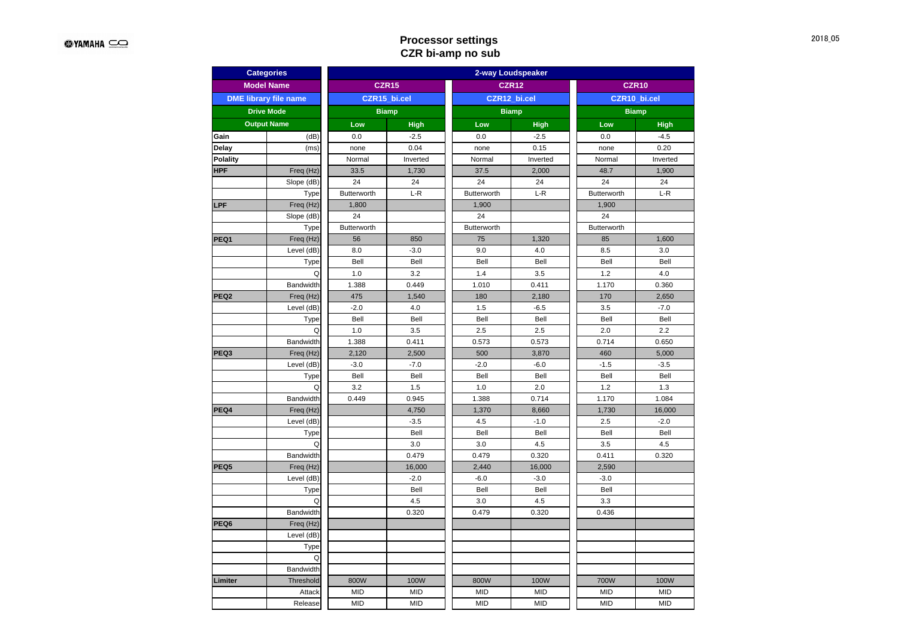# **Processor settings CZR bi-amp no sub**

| <b>Categories</b>  |                              | 2-way Loudspeaker  |                 |              |              |              |              |  |  |  |
|--------------------|------------------------------|--------------------|-----------------|--------------|--------------|--------------|--------------|--|--|--|
|                    | <b>Model Name</b>            |                    | <b>CZR15</b>    | <b>CZR12</b> |              | <b>CZR10</b> |              |  |  |  |
|                    | <b>DME</b> library file name |                    | CZR15 bi.cel    | CZR12 bi.cel |              | CZR10 bi.cel |              |  |  |  |
|                    | <b>Drive Mode</b>            |                    | <b>Biamp</b>    | <b>Biamp</b> |              | <b>Biamp</b> |              |  |  |  |
| <b>Output Name</b> |                              | Low                | <b>High</b>     | Low          | <b>High</b>  | Low          | <b>High</b>  |  |  |  |
| Gain               | (dB)                         | 0.0                | $-2.5$          | 0.0          | $-2.5$       | 0.0          | $-4.5$       |  |  |  |
| Delay              | (ms)                         | none               | 0.04            | none         | 0.15         | none         | 0.20         |  |  |  |
| Polality           |                              | Normal             | Inverted        | Normal       | Inverted     | Normal       | Inverted     |  |  |  |
| HPF                | Freq (Hz)                    | 33.5               | 1,730           | 37.5         | 2,000        | 48.7         | 1,900        |  |  |  |
|                    | Slope (dB)                   | 24                 | 24              | 24           | 24           | 24           | 24           |  |  |  |
|                    | Type                         | Butterworth        | $L-R$           | Butterworth  | $L-R$        | Butterworth  | $L-R$        |  |  |  |
| LPF                | Freq (Hz)                    | 1,800              |                 | 1,900        |              | 1,900        |              |  |  |  |
|                    | Slope (dB)                   | 24                 |                 | 24           |              | 24           |              |  |  |  |
|                    | Type                         | <b>Butterworth</b> |                 | Butterworth  |              | Butterworth  |              |  |  |  |
| PEQ1               | Freq (Hz)                    | 56                 | 850             | 75           | 1,320        | 85           | 1,600        |  |  |  |
|                    | Level (dB)                   | 8.0                | $-3.0$          | 9.0          | 4.0          | 8.5          | 3.0          |  |  |  |
|                    | Type                         | Bell               | Bell            | Bell         | Bell         | Bell         | Bell         |  |  |  |
|                    | Q                            | 1.0                | 3.2             | 1.4          | 3.5          | 1.2          | 4.0          |  |  |  |
|                    | Bandwidth                    | 1.388              | 0.449           | 1.010        | 0.411        | 1.170        | 0.360        |  |  |  |
| PEQ <sub>2</sub>   | Freq (Hz)                    | 475                | 1,540           | 180          | 2,180        | 170          | 2,650        |  |  |  |
|                    | Level (dB)                   | $-2.0$             | 4.0             | 1.5          | $-6.5$       | 3.5          | $-7.0$       |  |  |  |
|                    | Type                         | Bell               | Bell            | Bell         | Bell         | Bell         | Bell         |  |  |  |
|                    | Q                            | 1.0                | 3.5             | 2.5          | 2.5          | 2.0          | 2.2          |  |  |  |
|                    | Bandwidth                    | 1.388              | 0.411           | 0.573        | 0.573        | 0.714        | 0.650        |  |  |  |
| PEQ3               | Freq (Hz)                    | 2,120              | 2,500<br>$-7.0$ | 500          | 3,870        | 460          | 5,000        |  |  |  |
|                    | Level (dB)                   | $-3.0$             |                 | $-2.0$       | $-6.0$       | $-1.5$       | $-3.5$       |  |  |  |
|                    | Type                         | Bell               | Bell            | Bell         | Bell         | Bell         | Bell         |  |  |  |
|                    | Q<br>Bandwidth               | 3.2<br>0.449       | 1.5<br>0.945    | 1.0<br>1.388 | 2.0<br>0.714 | 1.2<br>1.170 | 1.3<br>1.084 |  |  |  |
| PEQ4               | Freq (Hz)                    |                    | 4,750           | 1,370        | 8,660        | 1,730        | 16,000       |  |  |  |
|                    | Level (dB)                   |                    | $-3.5$          | 4.5          | $-1.0$       | 2.5          | $-2.0$       |  |  |  |
|                    | Type                         |                    | Bell            | Bell         | Bell         | Bell         | Bell         |  |  |  |
|                    | Q                            |                    | 3.0             | 3.0          | 4.5          | 3.5          | 4.5          |  |  |  |
|                    | Bandwidth                    |                    | 0.479           | 0.479        | 0.320        | 0.411        | 0.320        |  |  |  |
| PEQ5               | Freq (Hz)                    |                    | 16,000          | 2,440        | 16,000       | 2,590        |              |  |  |  |
|                    | Level (dB)                   |                    | $-2.0$          | $-6.0$       | $-3.0$       | $-3.0$       |              |  |  |  |
|                    | Type                         |                    | Bell            | Bell         | Bell         | Bell         |              |  |  |  |
|                    | Q                            |                    | 4.5             | 3.0          | 4.5          | 3.3          |              |  |  |  |
|                    | Bandwidth                    |                    | 0.320           | 0.479        | 0.320        | 0.436        |              |  |  |  |
| PEQ6               | Freq (Hz)                    |                    |                 |              |              |              |              |  |  |  |
|                    | Level (dB)                   |                    |                 |              |              |              |              |  |  |  |
|                    | Type                         |                    |                 |              |              |              |              |  |  |  |
|                    | Q                            |                    |                 |              |              |              |              |  |  |  |
|                    | Bandwidth                    |                    |                 |              |              |              |              |  |  |  |
| Limiter            | Threshold                    | 800W               | 100W            | 800W         | 100W         | 700W         | 100W         |  |  |  |
|                    | Attack                       | <b>MID</b>         | <b>MID</b>      | <b>MID</b>   | <b>MID</b>   | <b>MID</b>   | <b>MID</b>   |  |  |  |
|                    | Release                      | <b>MID</b>         | <b>MID</b>      | <b>MID</b>   | <b>MID</b>   | <b>MID</b>   | <b>MID</b>   |  |  |  |
|                    |                              |                    |                 |              |              |              |              |  |  |  |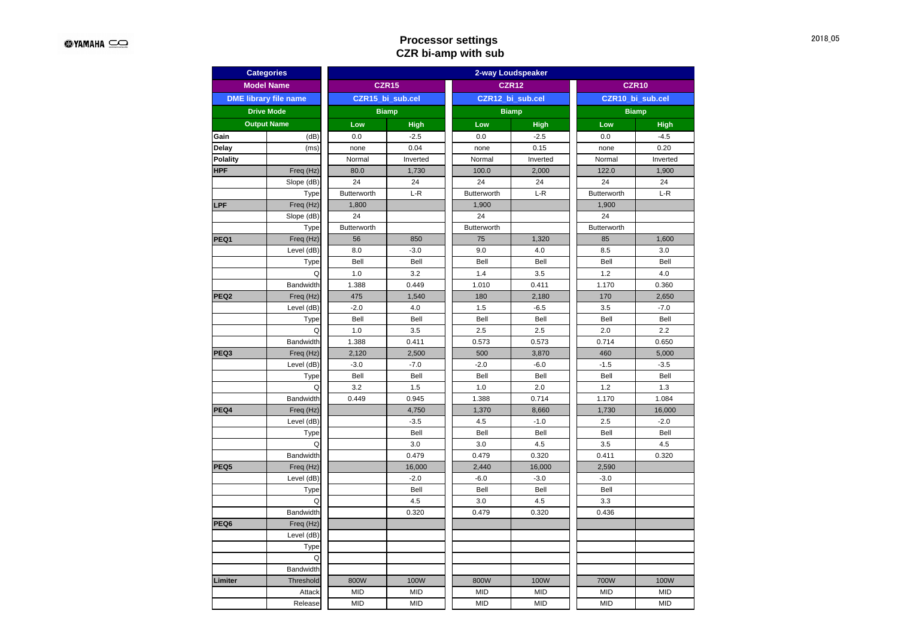# **Processor settings CZR bi-amp with sub**

| <b>Categories</b>  |                              | 2-way Loudspeaker  |                  |                  |                  |                   |              |  |  |
|--------------------|------------------------------|--------------------|------------------|------------------|------------------|-------------------|--------------|--|--|
|                    | <b>Model Name</b>            |                    | <b>CZR15</b>     | <b>CZR12</b>     |                  | CZR <sub>10</sub> |              |  |  |
|                    | <b>DME</b> library file name |                    | CZR15_bi_sub.cel | CZR12 bi sub.cel |                  | CZR10 bi sub.cel  |              |  |  |
|                    | <b>Drive Mode</b>            | <b>Biamp</b>       |                  | <b>Biamp</b>     |                  | <b>Biamp</b>      |              |  |  |
| <b>Output Name</b> |                              | Low                | <b>High</b>      | Low              | <b>High</b>      | Low               | <b>High</b>  |  |  |
| Gain               | (dB)                         | 0.0                | $-2.5$           | 0.0              | $-2.5$           | 0.0               | $-4.5$       |  |  |
| Delay              | (ms)                         | none               | 0.04             | none             | 0.15             | none              | 0.20         |  |  |
| <b>Polality</b>    |                              | Normal             | Inverted         | Normal           | Inverted         | Normal            | Inverted     |  |  |
| HPF                | Freq (Hz)                    | 80.0               | 1,730            | 100.0            | 2,000            | 122.0             | 1,900        |  |  |
|                    | Slope (dB)                   | 24                 | 24               | 24               | 24               | 24                | 24           |  |  |
|                    | Type                         | <b>Butterworth</b> | $L-R$            | Butterworth      | $L-R$            | Butterworth       | $L-R$        |  |  |
| LPF                | Freq (Hz)                    | 1,800              |                  | 1,900            |                  | 1,900             |              |  |  |
|                    | Slope (dB)                   | 24                 |                  | 24               |                  | 24                |              |  |  |
|                    | Type                         | Butterworth        |                  | Butterworth      |                  | Butterworth       |              |  |  |
| PEQ1               | Freq (Hz)                    | 56                 | 850              | 75               | 1,320            | 85                | 1,600        |  |  |
|                    | Level (dB)                   | 8.0                | $-3.0$           | 9.0              | 4.0              | 8.5               | 3.0          |  |  |
|                    | Type                         | Bell               | Bell             | Bell             | Bell             | Bell              | Bell         |  |  |
|                    | Q                            | 1.0                | 3.2              | 1.4              | 3.5              | 1.2               | 4.0          |  |  |
|                    | Bandwidth                    | 1.388              | 0.449            | 1.010            | 0.411            | 1.170             | 0.360        |  |  |
| PEQ <sub>2</sub>   | Freq (Hz)                    | 475                | 1,540            | 180              | 2,180            | 170               | 2,650        |  |  |
|                    | Level (dB)                   | $-2.0$             | 4.0              | 1.5              | $-6.5$           | 3.5               | $-7.0$       |  |  |
|                    | Type                         | Bell               | Bell             | Bell             | Bell             | Bell              | Bell         |  |  |
|                    | Q                            | 1.0                | 3.5              | 2.5              | 2.5              | 2.0               | 2.2          |  |  |
|                    | <b>Bandwidth</b>             | 1.388              | 0.411            | 0.573            | 0.573            | 0.714             | 0.650        |  |  |
| PEQ3               | Freq (Hz)                    | 2,120              | 2,500            | 500              | 3,870            | 460               | 5,000        |  |  |
|                    | Level (dB)                   | $-3.0$             | $-7.0$           | $-2.0$           | $-6.0$           | $-1.5$            | $-3.5$       |  |  |
|                    | Type                         | Bell               | Bell             | Bell             | Bell             | Bell              | Bell         |  |  |
|                    | Q                            | 3.2                | 1.5              | 1.0              | $2.0\,$          | 1.2               | 1.3          |  |  |
|                    | Bandwidth                    | 0.449              | 0.945            | 1.388            | 0.714            | 1.170             | 1.084        |  |  |
| PEQ4               | Freq (Hz)                    |                    | 4,750            | 1,370            | 8,660            | 1,730             | 16,000       |  |  |
|                    | Level (dB)                   |                    | $-3.5$           | 4.5              | $-1.0$           | 2.5               | $-2.0$       |  |  |
|                    | Type                         |                    | Bell             | Bell             | Bell             | Bell              | Bell         |  |  |
|                    | Q<br>Bandwidth               |                    | 3.0<br>0.479     | 3.0<br>0.479     | 4.5<br>0.320     | 3.5<br>0.411      | 4.5<br>0.320 |  |  |
| PEQ5               | Freq (Hz)                    |                    |                  |                  |                  |                   |              |  |  |
|                    | Level (dB)                   |                    | 16,000<br>$-2.0$ | 2,440<br>$-6.0$  | 16,000<br>$-3.0$ | 2,590<br>$-3.0$   |              |  |  |
|                    |                              |                    | Bell             | Bell             | Bell             | Bell              |              |  |  |
|                    | Type<br>Q                    |                    | 4.5              | 3.0              | 4.5              | 3.3               |              |  |  |
|                    | Bandwidth                    |                    | 0.320            | 0.479            | 0.320            | 0.436             |              |  |  |
| PEQ6               | Freq (Hz)                    |                    |                  |                  |                  |                   |              |  |  |
|                    | Level (dB)                   |                    |                  |                  |                  |                   |              |  |  |
|                    | Type                         |                    |                  |                  |                  |                   |              |  |  |
|                    | Q                            |                    |                  |                  |                  |                   |              |  |  |
|                    | Bandwidth                    |                    |                  |                  |                  |                   |              |  |  |
| Limiter            | Threshold                    | 800W               | 100W             | 800W             | 100W             | 700W              | 100W         |  |  |
|                    | Attack                       | <b>MID</b>         | <b>MID</b>       | <b>MID</b>       | <b>MID</b>       | <b>MID</b>        | <b>MID</b>   |  |  |
|                    |                              |                    | <b>MID</b>       | <b>MID</b>       | <b>MID</b>       | <b>MID</b>        | <b>MID</b>   |  |  |
|                    | Release                      | <b>MID</b>         |                  |                  |                  |                   |              |  |  |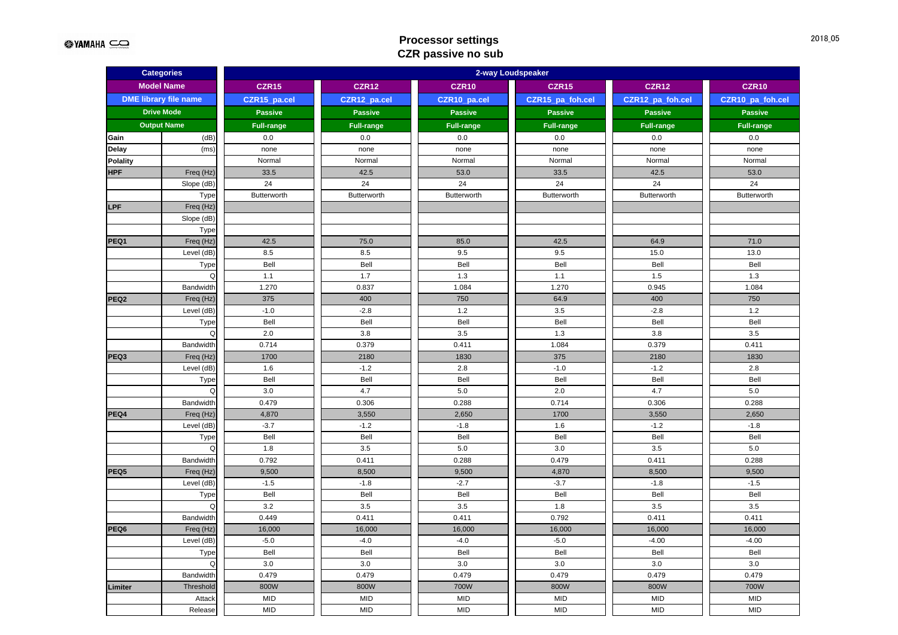$QYAMAHA \n\cong Q$ 

# **Processor settings CZR passive no sub**

| <b>Categories</b> |                              | 2-way Loudspeaker  |                    |                   |                   |                   |                   |  |  |  |
|-------------------|------------------------------|--------------------|--------------------|-------------------|-------------------|-------------------|-------------------|--|--|--|
|                   | <b>Model Name</b>            | <b>CZR15</b>       | <b>CZR12</b>       | CZR <sub>10</sub> | <b>CZR15</b>      | <b>CZR12</b>      | <b>CZR10</b>      |  |  |  |
|                   | <b>DME library file name</b> | CZR15_pa.cel       | CZR12_pa.cel       | CZR10_pa.cel      | CZR15_pa_foh.cel  | CZR12_pa_foh.cel  | CZR10_pa_foh.cel  |  |  |  |
|                   | <b>Drive Mode</b>            | <b>Passive</b>     | <b>Passive</b>     | <b>Passive</b>    | <b>Passive</b>    | <b>Passive</b>    | <b>Passive</b>    |  |  |  |
|                   | <b>Output Name</b>           | Full-range         | <b>Full-range</b>  | <b>Full-range</b> | <b>Full-range</b> | <b>Full-range</b> | <b>Full-range</b> |  |  |  |
| Gain              | (dB)                         | 0.0                | 0.0                | 0.0               | 0.0               | 0.0               | 0.0               |  |  |  |
| Delay             | (ms)                         | none               | none               | none              | none              | none              | none              |  |  |  |
| <b>Polality</b>   |                              | Normal             | Normal             | Normal            | Normal            | Normal            | Normal            |  |  |  |
| <b>HPF</b>        | Freq (Hz)                    | 33.5               | 42.5               | 53.0              | 33.5              | 42.5              | 53.0              |  |  |  |
|                   | Slope (dB)                   | 24                 | 24                 | 24                | 24                | 24                | 24                |  |  |  |
|                   | Type                         | <b>Butterworth</b> | <b>Butterworth</b> | Butterworth       | Butterworth       | Butterworth       | Butterworth       |  |  |  |
| <b>LPF</b>        | Freq (Hz)                    |                    |                    |                   |                   |                   |                   |  |  |  |
|                   | Slope (dB)                   |                    |                    |                   |                   |                   |                   |  |  |  |
|                   | Type                         |                    |                    |                   |                   |                   |                   |  |  |  |
| PEQ1              | Freq (Hz)                    | 42.5               | 75.0               | 85.0              | 42.5              | 64.9              | 71.0              |  |  |  |
|                   | Level (dB)                   | 8.5                | 8.5                | 9.5               | 9.5               | 15.0              | 13.0              |  |  |  |
|                   | Type                         | Bell               | Bell               | Bell              | Bell              | Bell              | Bell              |  |  |  |
|                   | Q                            | 1.1                | 1.7                | 1.3               | 1.1               | 1.5               | 1.3               |  |  |  |
|                   | Bandwidth                    | 1.270              | 0.837              | 1.084             | 1.270             | 0.945             | 1.084             |  |  |  |
| PEQ <sub>2</sub>  | Freq (Hz)                    | 375                | 400                | 750               | 64.9              | 400               | 750               |  |  |  |
|                   | Level (dB)                   | $-1.0$             | $-2.8$             | $1.2$             | 3.5               | $-2.8$            | $1.2$             |  |  |  |
|                   | Type                         | Bell               | Bell               | Bell              | Bell              | Bell              | Bell              |  |  |  |
|                   | Q                            | 2.0                | 3.8                | 3.5               | 1.3               | 3.8               | 3.5               |  |  |  |
|                   | Bandwidth                    | 0.714              | 0.379              | 0.411             | 1.084             | 0.379             | 0.411             |  |  |  |
| PEQ3              | Freq (Hz)                    | 1700               | 2180               | 1830              | 375               | 2180              | 1830              |  |  |  |
|                   | Level (dB)                   | 1.6                | $-1.2$             | 2.8               | $-1.0$            | $-1.2$            | 2.8               |  |  |  |
|                   | Type                         | Bell               | Bell               | Bell              | Bell              | Bell              | Bell              |  |  |  |
|                   | Q                            | 3.0                | 4.7                | 5.0               | 2.0               | 4.7               | 5.0               |  |  |  |
|                   | Bandwidth                    | 0.479              | 0.306              | 0.288             | 0.714             | 0.306             | 0.288             |  |  |  |
| PEQ4              | Freq (Hz)                    | 4,870              | 3,550              | 2,650             | 1700              | 3,550             | 2,650             |  |  |  |
|                   | Level (dB)                   | $-3.7$             | $-1.2$             | $-1.8$            | 1.6               | $-1.2$            | $-1.8$            |  |  |  |
|                   | Type                         | Bell               | Bell               | Bell              | Bell              | Bell              | Bell              |  |  |  |
|                   | Q                            | 1.8                | 3.5                | 5.0               | 3.0               | 3.5               | 5.0               |  |  |  |
|                   | Bandwidth                    | 0.792              | 0.411              | 0.288             | 0.479             | 0.411             | 0.288             |  |  |  |
| PEQ5              | Freq (Hz)                    | 9,500              | 8,500              | 9,500             | 4,870             | 8,500             | 9,500             |  |  |  |
|                   | Level (dB)                   | $-1.5$             | $-1.8$             | $-2.7$            | $-3.7$            | $-1.8$            | $-1.5$            |  |  |  |
|                   | Type                         | Bell               | Bell               | Bell              | Bell              | Bell              | Bell              |  |  |  |
|                   | Q                            | 3.2                | 3.5                | 3.5               | 1.8               | 3.5               | 3.5               |  |  |  |
|                   | Bandwidth                    | 0.449              | 0.411              | 0.411             | 0.792             | 0.411             | 0.411             |  |  |  |
| PEQ6              | Freq (Hz)                    | 16,000             | 16,000             | 16,000            | 16,000            | 16,000            | 16,000            |  |  |  |
|                   | Level (dB)                   | $-5.0$             | $-4.0$             | $-4.0$            | $-5.0$            | $-4.00$           | $-4.00$           |  |  |  |
|                   | Type                         | Bell               | Bell               | Bell              | Bell              | Bell              | Bell              |  |  |  |
|                   | Q                            | 3.0                | 3.0                | 3.0               | 3.0               | 3.0               | 3.0               |  |  |  |
|                   | Bandwidth                    | 0.479              | 0.479              | 0.479             | 0.479             | 0.479             | 0.479             |  |  |  |
| Limiter           | Threshold                    | 800W               | 800W               | 700W              | 800W              | 800W              | 700W              |  |  |  |
|                   | Attack                       | <b>MID</b>         | <b>MID</b>         | <b>MID</b>        | <b>MID</b>        | <b>MID</b>        | <b>MID</b>        |  |  |  |
|                   | Release                      | <b>MID</b>         | <b>MID</b>         | <b>MID</b>        | <b>MID</b>        | <b>MID</b>        | <b>MID</b>        |  |  |  |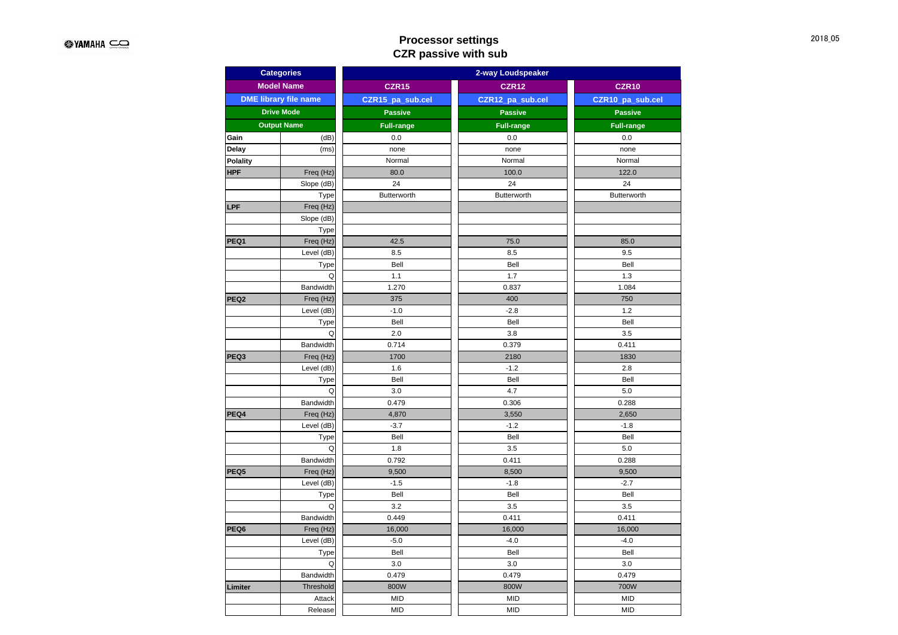# **Processor settings CZR passive with sub**

| <b>Categories</b> |                              | 2-way Loudspeaker |                    |                    |  |  |  |  |
|-------------------|------------------------------|-------------------|--------------------|--------------------|--|--|--|--|
|                   | <b>Model Name</b>            | <b>CZR15</b>      | <b>CZR12</b>       | <b>CZR10</b>       |  |  |  |  |
|                   | <b>DME library file name</b> | CZR15_pa_sub.cel  | CZR12_pa_sub.cel   | CZR10_pa_sub.cel   |  |  |  |  |
|                   | <b>Drive Mode</b>            | <b>Passive</b>    | <b>Passive</b>     | <b>Passive</b>     |  |  |  |  |
|                   | <b>Output Name</b>           | <b>Full-range</b> | <b>Full-range</b>  | <b>Full-range</b>  |  |  |  |  |
| Gain              | (dB)                         | 0.0               | 0.0                | 0.0                |  |  |  |  |
| Delay             | (ms)                         | none              | none               | none               |  |  |  |  |
| <b>Polality</b>   |                              | Normal            | Normal             | Normal             |  |  |  |  |
| <b>HPF</b>        | Freq (Hz)                    | 80.0              | 100.0              | 122.0              |  |  |  |  |
|                   | Slope (dB)                   | 24                | 24                 | 24                 |  |  |  |  |
|                   | Type                         | Butterworth       | <b>Butterworth</b> | <b>Butterworth</b> |  |  |  |  |
| LPF               | Freq (Hz)                    |                   |                    |                    |  |  |  |  |
|                   | Slope (dB)                   |                   |                    |                    |  |  |  |  |
|                   | Type                         |                   |                    |                    |  |  |  |  |
| PEQ1              | Freq (Hz)                    | 42.5              | 75.0               | 85.0               |  |  |  |  |
|                   | Level (dB)                   | 8.5               | 8.5                | 9.5                |  |  |  |  |
|                   | Type                         | Bell              | Bell               | Bell               |  |  |  |  |
|                   | Q                            | 1.1               | 1.7                | 1.3                |  |  |  |  |
|                   | <b>Bandwidth</b>             | 1.270             | 0.837              | 1.084              |  |  |  |  |
| PEQ <sub>2</sub>  | Freq (Hz)                    | 375               | 400                | 750                |  |  |  |  |
|                   | Level (dB)                   | $-1.0$            | $-2.8$             | 1.2                |  |  |  |  |
|                   | Type                         | Bell              | Bell               | Bell               |  |  |  |  |
|                   | Q                            | 2.0               | 3.8                | 3.5                |  |  |  |  |
|                   | <b>Bandwidth</b>             | 0.714             | 0.379              | 0.411              |  |  |  |  |
| PEQ3              | Freq (Hz)                    | 1700              | 2180               | 1830               |  |  |  |  |
|                   | Level (dB)                   | 1.6               | $-1.2$             | 2.8                |  |  |  |  |
|                   | Type                         | Bell              | Bell               | Bell               |  |  |  |  |
|                   | Q                            | 3.0               | 4.7                | 5.0                |  |  |  |  |
|                   | Bandwidth                    | 0.479             | 0.306              | 0.288              |  |  |  |  |
| PEQ4              | Freq (Hz)                    | 4,870             | 3,550              | 2,650              |  |  |  |  |
|                   | Level (dB)                   | $-3.7$            | $-1.2$             | $-1.8$             |  |  |  |  |
|                   | Type                         | Bell              | Bell               | Bell               |  |  |  |  |
|                   | Q                            | 1.8               | 3.5                | 5.0                |  |  |  |  |
|                   | Bandwidth                    | 0.792             | 0.411              | 0.288              |  |  |  |  |
| PEQ5              | Freq (Hz)                    | 9,500             | 8,500              | 9,500              |  |  |  |  |
|                   | Level (dB)                   | $-1.5$            | $-1.8$             | $-2.7$             |  |  |  |  |
|                   | Type                         | Bell              | Bell               | Bell               |  |  |  |  |
|                   | Q                            | 3.2               | 3.5                | 3.5                |  |  |  |  |
|                   | <b>Bandwidth</b>             | 0.449             | 0.411              | 0.411              |  |  |  |  |
| PEQ6              | Freq (Hz)                    | 16,000            | 16,000             | 16,000             |  |  |  |  |
|                   | Level (dB)                   | $-5.0$            | $-4.0$             | $-4.0$             |  |  |  |  |
|                   | Type                         | Bell              | Bell               | Bell               |  |  |  |  |
|                   | Q                            | 3.0               | 3.0                | 3.0                |  |  |  |  |
|                   | Bandwidth                    | 0.479             | 0.479              | 0.479              |  |  |  |  |
| Limiter           | Threshold                    | 800W              | 800W               | 700W               |  |  |  |  |
|                   | Attack                       | <b>MID</b>        | <b>MID</b>         | <b>MID</b>         |  |  |  |  |
|                   | Release                      | <b>MID</b>        | <b>MID</b>         | <b>MID</b>         |  |  |  |  |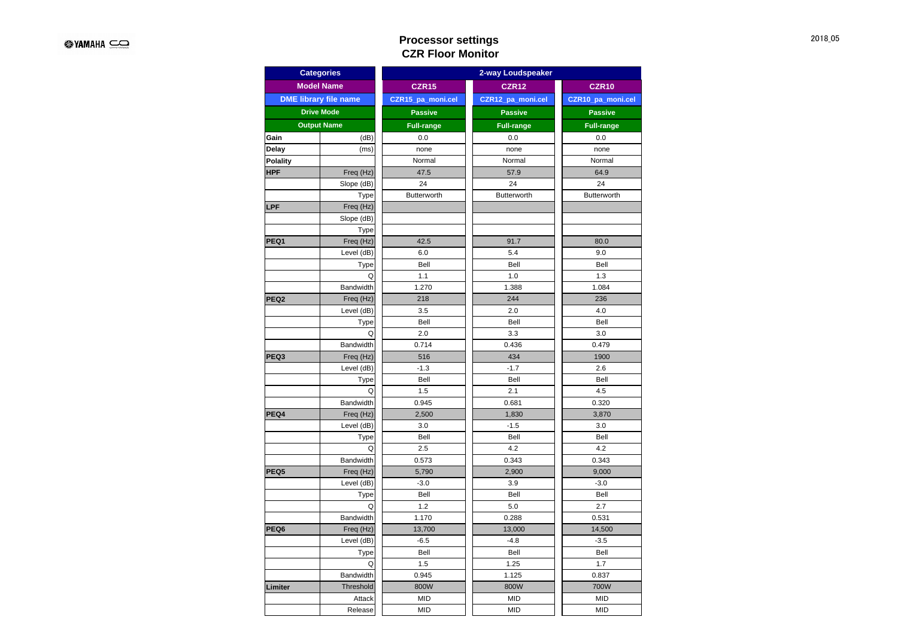## **Processor settings CZR Floor Monitor**

|                  | <b>Categories</b>            | 2-way Loudspeaker |                   |                   |  |  |  |
|------------------|------------------------------|-------------------|-------------------|-------------------|--|--|--|
|                  | <b>Model Name</b>            | <b>CZR15</b>      | <b>CZR12</b>      | <b>CZR10</b>      |  |  |  |
|                  | <b>DME library file name</b> | CZR15_pa_moni.cel | CZR12_pa_moni.cel | CZR10_pa_moni.cel |  |  |  |
|                  | <b>Drive Mode</b>            | <b>Passive</b>    | <b>Passive</b>    | <b>Passive</b>    |  |  |  |
|                  | <b>Output Name</b>           | <b>Full-range</b> | <b>Full-range</b> | <b>Full-range</b> |  |  |  |
| Gain             | (dB)                         | 0.0               | 0.0               | 0.0               |  |  |  |
| Delay            | (ms)                         | none              | none              | none              |  |  |  |
| <b>Polality</b>  |                              | Normal            | Normal            | Normal            |  |  |  |
| <b>HPF</b>       | Freq (Hz)                    | 47.5              | 57.9              | 64.9              |  |  |  |
|                  | Slope (dB)                   | 24                | 24                | 24                |  |  |  |
|                  | Type                         | Butterworth       | Butterworth       | Butterworth       |  |  |  |
| LPF              | Freq (Hz)                    |                   |                   |                   |  |  |  |
|                  | Slope (dB)                   |                   |                   |                   |  |  |  |
|                  | Type                         |                   |                   |                   |  |  |  |
| PEQ1             | Freq (Hz)                    | 42.5              | 91.7              | 80.0              |  |  |  |
|                  | Level (dB)                   | 6.0               | 5.4               | 9.0               |  |  |  |
|                  | Type                         | Bell              | Bell              | Bell              |  |  |  |
|                  | Q                            | 1.1               | 1.0               | 1.3               |  |  |  |
|                  | Bandwidth                    | 1.270             | 1.388             | 1.084             |  |  |  |
| PEQ <sub>2</sub> | Freq (Hz)                    | 218               | 244               | 236               |  |  |  |
|                  | Level (dB)                   | 3.5               | 2.0               | 4.0               |  |  |  |
|                  | Type                         | Bell              | Bell              | Bell              |  |  |  |
|                  | Q                            | 2.0               | 3.3               | 3.0               |  |  |  |
|                  | Bandwidth                    | 0.714             | 0.436             | 0.479             |  |  |  |
| PEQ3             | Freq (Hz)                    | 516               | 434               | 1900              |  |  |  |
|                  | Level (dB)                   | $-1.3$            | $-1.7$            | 2.6               |  |  |  |
|                  | Type                         | Bell              | Bell              | Bell              |  |  |  |
|                  | Q                            | 1.5               | 2.1               | 4.5               |  |  |  |
|                  | Bandwidth                    | 0.945             | 0.681             | 0.320             |  |  |  |
| PEQ4             | Freq (Hz)                    | 2,500             | 1,830             | 3,870             |  |  |  |
|                  | Level (dB)                   | 3.0               | $-1.5$            | 3.0               |  |  |  |
|                  | Type                         | Bell              | Bell              | Bell              |  |  |  |
|                  | Q                            | 2.5               | 4.2               | 4.2               |  |  |  |
|                  | Bandwidth                    | 0.573             | 0.343             | 0.343             |  |  |  |
| PEQ5             | Freq (Hz)                    | 5,790             | 2,900             | 9,000             |  |  |  |
|                  | Level (dB)                   | $-3.0$            | 3.9               | $-3.0$            |  |  |  |
|                  | Type                         | Bell              | Bell              | Bell              |  |  |  |
|                  | Q                            | 1.2               | 5.0               | 2.7               |  |  |  |
|                  | Bandwidth                    | 1.170             | 0.288             | 0.531             |  |  |  |
| PEQ6             | Freq (Hz)                    | 13,700            | 13,000            | 14,500            |  |  |  |
|                  | Level (dB)                   | $-6.5$            | $-4.8$            | $-3.5$            |  |  |  |
|                  | Type                         | Bell              | Bell              | Bell              |  |  |  |
|                  | Q                            | 1.5               | 1.25              | 1.7               |  |  |  |
|                  | Bandwidth                    | 0.945             | 1.125             | 0.837             |  |  |  |
| Limiter          | Threshold                    | 800W              | 800W              | 700W              |  |  |  |
|                  | Attack                       | <b>MID</b>        | <b>MID</b>        | <b>MID</b>        |  |  |  |
|                  | Release                      | <b>MID</b>        | <b>MID</b>        | <b>MID</b>        |  |  |  |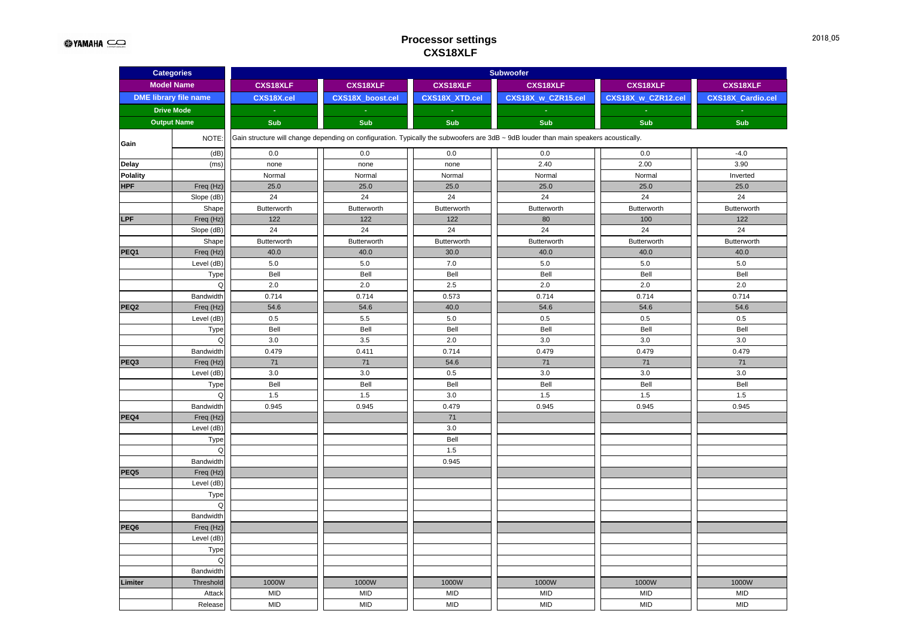### **Processor settings CXS18XLF**

| <b>Categories</b> |                              | <b>Subwoofer</b> |                         |                 |                                                                                                                                       |                    |                          |  |  |
|-------------------|------------------------------|------------------|-------------------------|-----------------|---------------------------------------------------------------------------------------------------------------------------------------|--------------------|--------------------------|--|--|
|                   | <b>Model Name</b>            | <b>CXS18XLF</b>  | <b>CXS18XLF</b>         | <b>CXS18XLF</b> | <b>CXS18XLF</b>                                                                                                                       | <b>CXS18XLF</b>    | <b>CXS18XLF</b>          |  |  |
|                   | <b>DME</b> library file name | CXS18X.cel       | <b>CXS18X</b> boost.cel | CXS18X_XTD.cel  | CXS18X w CZR15.cel                                                                                                                    | CXS18X w CZR12.cel | <b>CXS18X Cardio.cel</b> |  |  |
|                   | <b>Drive Mode</b>            | $\omega$         | $\omega$                | $\omega$        |                                                                                                                                       | $\omega$           |                          |  |  |
|                   | <b>Output Name</b>           | <b>Sub</b>       | Sub                     | <b>Sub</b>      | Sub                                                                                                                                   | <b>Sub</b>         | Sub                      |  |  |
|                   |                              |                  |                         |                 |                                                                                                                                       |                    |                          |  |  |
| Gain              | NOTE:                        |                  |                         |                 | Gain structure will change depending on configuration. Typically the subwoofers are 3dB ~ 9dB louder than main speakers acoustically. |                    |                          |  |  |
|                   | (dB)                         | 0.0              | 0.0                     | 0.0             | 0.0                                                                                                                                   | 0.0                | $-4.0$                   |  |  |
| <b>Delay</b>      | (ms)                         | none             | none                    | none            | 2.40                                                                                                                                  | 2.00               | 3.90                     |  |  |
| <b>Polality</b>   |                              | Normal           | Normal                  | Normal          | Normal                                                                                                                                | Normal             | Inverted                 |  |  |
| <b>HPF</b>        | Freq (Hz)                    | 25.0             | 25.0                    | 25.0            | 25.0                                                                                                                                  | 25.0               | 25.0                     |  |  |
|                   | Slope (dB)                   | 24               | 24                      | 24              | 24                                                                                                                                    | 24                 | 24                       |  |  |
|                   | Shape                        | Butterworth      | Butterworth             | Butterworth     | Butterworth                                                                                                                           | Butterworth        | Butterworth              |  |  |
| LPF               | Freq (Hz)                    | 122              | 122                     | 122             | 80                                                                                                                                    | 100                | 122                      |  |  |
|                   | Slope (dB)                   | 24               | 24                      | 24              | 24                                                                                                                                    | 24                 | 24                       |  |  |
|                   | Shape                        | Butterworth      | Butterworth             | Butterworth     | Butterworth                                                                                                                           | Butterworth        | Butterworth              |  |  |
| PEQ1              | Freq (Hz)                    | 40.0             | 40.0                    | 30.0            | 40.0                                                                                                                                  | 40.0               | 40.0                     |  |  |
|                   | Level (dB)                   | 5.0              | 5.0                     | 7.0             | 5.0                                                                                                                                   | 5.0                | 5.0                      |  |  |
|                   | Type                         | Bell             | Bell                    | Bell            | Bell                                                                                                                                  | Bell               | Bell                     |  |  |
|                   | Q                            | 2.0              | 2.0                     | 2.5             | 2.0                                                                                                                                   | 2.0                | 2.0                      |  |  |
|                   | Bandwidth                    | 0.714            | 0.714                   | 0.573           | 0.714                                                                                                                                 | 0.714              | 0.714                    |  |  |
| PEQ <sub>2</sub>  | Freq (Hz)                    | 54.6             | 54.6                    | 40.0            | 54.6                                                                                                                                  | 54.6               | 54.6                     |  |  |
|                   | Level (dB)                   | 0.5              | 5.5                     | 5.0             | 0.5                                                                                                                                   | 0.5                | 0.5                      |  |  |
|                   | Type                         | Bell             | Bell                    | Bell            | Bell                                                                                                                                  | Bell               | Bell                     |  |  |
|                   | Q                            | 3.0              | 3.5                     | 2.0             | 3.0                                                                                                                                   | 3.0                | 3.0                      |  |  |
|                   | Bandwidth                    | 0.479            | 0.411                   | 0.714           | 0.479                                                                                                                                 | 0.479              | 0.479                    |  |  |
| PEQ3              | Freq (Hz)                    | $71$             | $71$                    | 54.6            | 71                                                                                                                                    | $71$               | 71                       |  |  |
|                   | Level (dB)                   | 3.0              | 3.0                     | 0.5             | 3.0                                                                                                                                   | 3.0                | 3.0                      |  |  |
|                   | Type                         | Bell             | Bell                    | Bell            | Bell                                                                                                                                  | Bell               | Bell                     |  |  |
|                   | Q                            | 1.5              | 1.5                     | 3.0             | 1.5                                                                                                                                   | 1.5                | 1.5                      |  |  |
|                   | Bandwidth                    | 0.945            | 0.945                   | 0.479           | 0.945                                                                                                                                 | 0.945              | 0.945                    |  |  |
| PEQ4              | Freq (Hz)                    |                  |                         | 71              |                                                                                                                                       |                    |                          |  |  |
|                   | Level (dB)                   |                  |                         | 3.0             |                                                                                                                                       |                    |                          |  |  |
|                   | Type                         |                  |                         | Bell            |                                                                                                                                       |                    |                          |  |  |
|                   | Q                            |                  |                         | 1.5             |                                                                                                                                       |                    |                          |  |  |
|                   | Bandwidth                    |                  |                         | 0.945           |                                                                                                                                       |                    |                          |  |  |
| PEQ5              | Freq (Hz)                    |                  |                         |                 |                                                                                                                                       |                    |                          |  |  |
|                   | Level (dB)                   |                  |                         |                 |                                                                                                                                       |                    |                          |  |  |
|                   | Type                         |                  |                         |                 |                                                                                                                                       |                    |                          |  |  |
|                   | Q                            |                  |                         |                 |                                                                                                                                       |                    |                          |  |  |
|                   | Bandwidth                    |                  |                         |                 |                                                                                                                                       |                    |                          |  |  |
| PEQ6              | Freq (Hz)                    |                  |                         |                 |                                                                                                                                       |                    |                          |  |  |
|                   | Level (dB)                   |                  |                         |                 |                                                                                                                                       |                    |                          |  |  |
|                   | Type                         |                  |                         |                 |                                                                                                                                       |                    |                          |  |  |
|                   | Q                            |                  |                         |                 |                                                                                                                                       |                    |                          |  |  |
|                   | Bandwidth                    |                  |                         |                 |                                                                                                                                       |                    |                          |  |  |
| Limiter           | Threshold                    | 1000W            | 1000W                   | 1000W           | 1000W                                                                                                                                 | 1000W              | 1000W                    |  |  |
|                   | Attack                       | <b>MID</b>       | <b>MID</b>              | <b>MID</b>      | <b>MID</b>                                                                                                                            | <b>MID</b>         | <b>MID</b>               |  |  |
|                   | Release                      | <b>MID</b>       | <b>MID</b>              | <b>MID</b>      | <b>MID</b>                                                                                                                            | <b>MID</b>         | <b>MID</b>               |  |  |